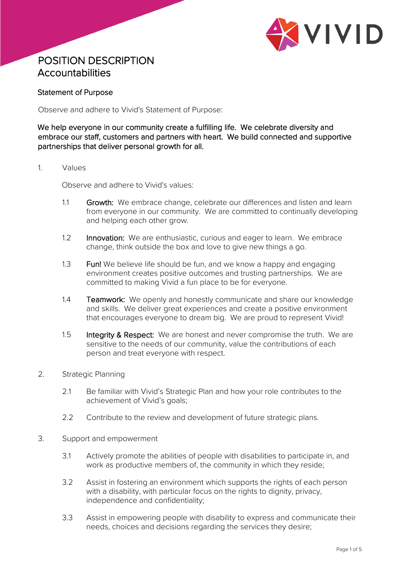

# POSITION DESCRIPTION **Accountabilities**

### Statement of Purpose

Observe and adhere to Vivid's Statement of Purpose:

We help everyone in our community create a fulfilling life. We celebrate diversity and embrace our staff, customers and partners with heart. We build connected and supportive partnerships that deliver personal growth for all.

1. Values

Observe and adhere to Vivid's values:

- 1.1 Growth: We embrace change, celebrate our differences and listen and learn from everyone in our community. We are committed to continually developing and helping each other grow.
- 1.2 Innovation: We are enthusiastic, curious and eager to learn. We embrace change, think outside the box and love to give new things a go.
- 1.3 Fun! We believe life should be fun, and we know a happy and engaging environment creates positive outcomes and trusting partnerships. We are committed to making Vivid a fun place to be for everyone.
- 1.4 **Teamwork:** We openly and honestly communicate and share our knowledge and skills. We deliver great experiences and create a positive environment that encourages everyone to dream big. We are proud to represent Vivid!
- 1.5 Integrity & Respect: We are honest and never compromise the truth. We are sensitive to the needs of our community, value the contributions of each person and treat everyone with respect.
- 2. Strategic Planning
	- 2.1 Be familiar with Vivid's Strategic Plan and how your role contributes to the achievement of Vivid's goals;
	- 2.2 Contribute to the review and development of future strategic plans.
- 3. Support and empowerment
	- 3.1 Actively promote the abilities of people with disabilities to participate in, and work as productive members of, the community in which they reside;
	- 3.2 Assist in fostering an environment which supports the rights of each person with a disability, with particular focus on the rights to dignity, privacy, independence and confidentiality;
	- 3.3 Assist in empowering people with disability to express and communicate their needs, choices and decisions regarding the services they desire;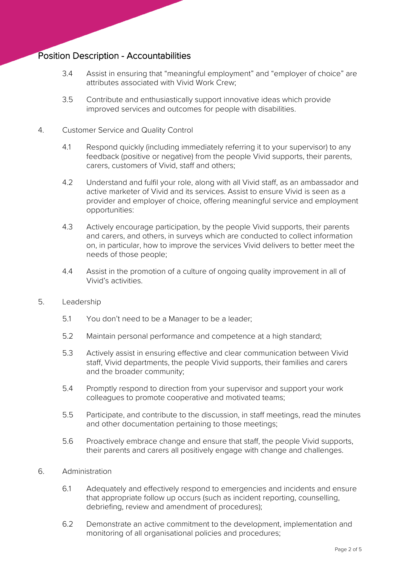- 3.4 Assist in ensuring that "meaningful employment" and "employer of choice" are attributes associated with Vivid Work Crew;
- 3.5 Contribute and enthusiastically support innovative ideas which provide improved services and outcomes for people with disabilities.

### 4. Customer Service and Quality Control

- 4.1 Respond quickly (including immediately referring it to your supervisor) to any feedback (positive or negative) from the people Vivid supports, their parents, carers, customers of Vivid, staff and others;
- 4.2 Understand and fulfil your role, along with all Vivid staff, as an ambassador and active marketer of Vivid and its services. Assist to ensure Vivid is seen as a provider and employer of choice, offering meaningful service and employment opportunities:
- 4.3 Actively encourage participation, by the people Vivid supports, their parents and carers, and others, in surveys which are conducted to collect information on, in particular, how to improve the services Vivid delivers to better meet the needs of those people;
- 4.4 Assist in the promotion of a culture of ongoing quality improvement in all of Vivid's activities.
- 5. Leadership
	- 5.1 You don't need to be a Manager to be a leader;
	- 5.2 Maintain personal performance and competence at a high standard;
	- 5.3 Actively assist in ensuring effective and clear communication between Vivid staff, Vivid departments, the people Vivid supports, their families and carers and the broader community;
	- 5.4 Promptly respond to direction from your supervisor and support your work colleagues to promote cooperative and motivated teams;
	- 5.5 Participate, and contribute to the discussion, in staff meetings, read the minutes and other documentation pertaining to those meetings;
	- 5.6 Proactively embrace change and ensure that staff, the people Vivid supports, their parents and carers all positively engage with change and challenges.

#### 6. Administration

- 6.1 Adequately and effectively respond to emergencies and incidents and ensure that appropriate follow up occurs (such as incident reporting, counselling, debriefing, review and amendment of procedures);
- 6.2 Demonstrate an active commitment to the development, implementation and monitoring of all organisational policies and procedures;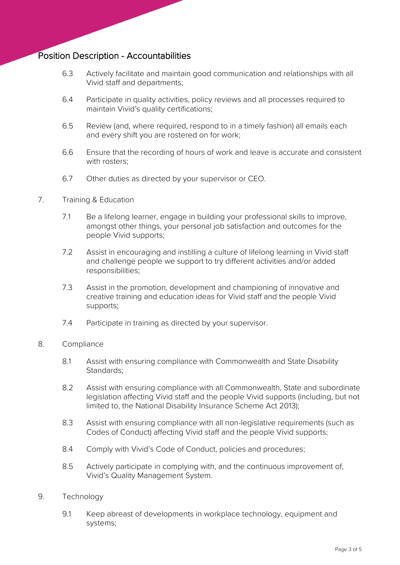- 6.3 Actively facilitate and maintain good communication and relationships with all Vivid staff and departments;
- 6.4 Participate in quality activities, policy reviews and all processes required to maintain Vivid's quality certifications;
- 6.5 Review (and, where required, respond to in a timely fashion) all emails each and every shift you are rostered on for work;
- 6.6 Ensure that the recording of hours of work and leave is accurate and consistent with rosters;
- 6.7 Other duties as directed by your supervisor or CEO.

### 7. Training & Education

- 7.1 Be a lifelong learner, engage in building your professional skills to improve, amongst other things, your personal job satisfaction and outcomes for the people Vivid supports;
- 7.2 Assist in encouraging and instilling a culture of lifelong learning in Vivid staff and challenge people we support to try different activities and/or added responsibilities;
- 7.3 Assist in the promotion, development and championing of innovative and creative training and education ideas for Vivid staff and the people Vivid supports;
- 7.4 Participate in training as directed by your supervisor.

#### 8. Compliance

- 8.1 Assist with ensuring compliance with Commonwealth and State Disability Standards;
- 8.2 Assist with ensuring compliance with all Commonwealth, State and subordinate legislation affecting Vivid staff and the people Vivid supports (including, but not limited to, the National Disability Insurance Scheme Act 2013);
- 8.3 Assist with ensuring compliance with all non-legislative requirements (such as Codes of Conduct) affecting Vivid staff and the people Vivid supports;
- 8.4 Comply with Vivid's Code of Conduct, policies and procedures;
- 8.5 Actively participate in complying with, and the continuous improvement of, Vivid's Quality Management System.

### 9. Technology

9.1 Keep abreast of developments in workplace technology, equipment and systems;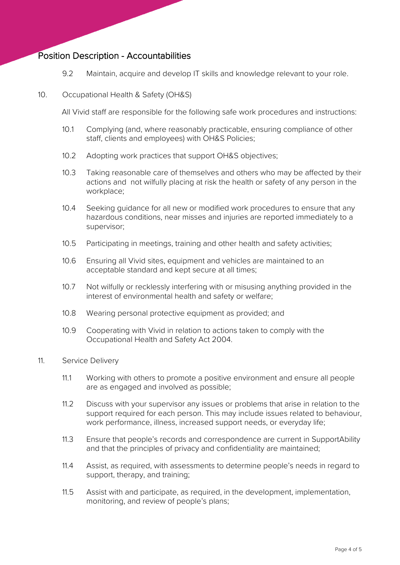9.2 Maintain, acquire and develop IT skills and knowledge relevant to your role.

### 10. Occupational Health & Safety (OH&S)

All Vivid staff are responsible for the following safe work procedures and instructions:

- 10.1 Complying (and, where reasonably practicable, ensuring compliance of other staff, clients and employees) with OH&S Policies;
- 10.2 Adopting work practices that support OH&S objectives;
- 10.3 Taking reasonable care of themselves and others who may be affected by their actions and not wilfully placing at risk the health or safety of any person in the workplace;
- 10.4 Seeking guidance for all new or modified work procedures to ensure that any hazardous conditions, near misses and injuries are reported immediately to a supervisor;
- 10.5 Participating in meetings, training and other health and safety activities;
- 10.6 Ensuring all Vivid sites, equipment and vehicles are maintained to an acceptable standard and kept secure at all times;
- 10.7 Not wilfully or recklessly interfering with or misusing anything provided in the interest of environmental health and safety or welfare;
- 10.8 Wearing personal protective equipment as provided; and
- 10.9 Cooperating with Vivid in relation to actions taken to comply with the Occupational Health and Safety Act 2004.
- 11. Service Delivery
	- 11.1 Working with others to promote a positive environment and ensure all people are as engaged and involved as possible;
	- 11.2 Discuss with your supervisor any issues or problems that arise in relation to the support required for each person. This may include issues related to behaviour, work performance, illness, increased support needs, or everyday life;
	- 11.3 Ensure that people's records and correspondence are current in SupportAbility and that the principles of privacy and confidentiality are maintained;
	- 11.4 Assist, as required, with assessments to determine people's needs in regard to support, therapy, and training;
	- 11.5 Assist with and participate, as required, in the development, implementation, monitoring, and review of people's plans;